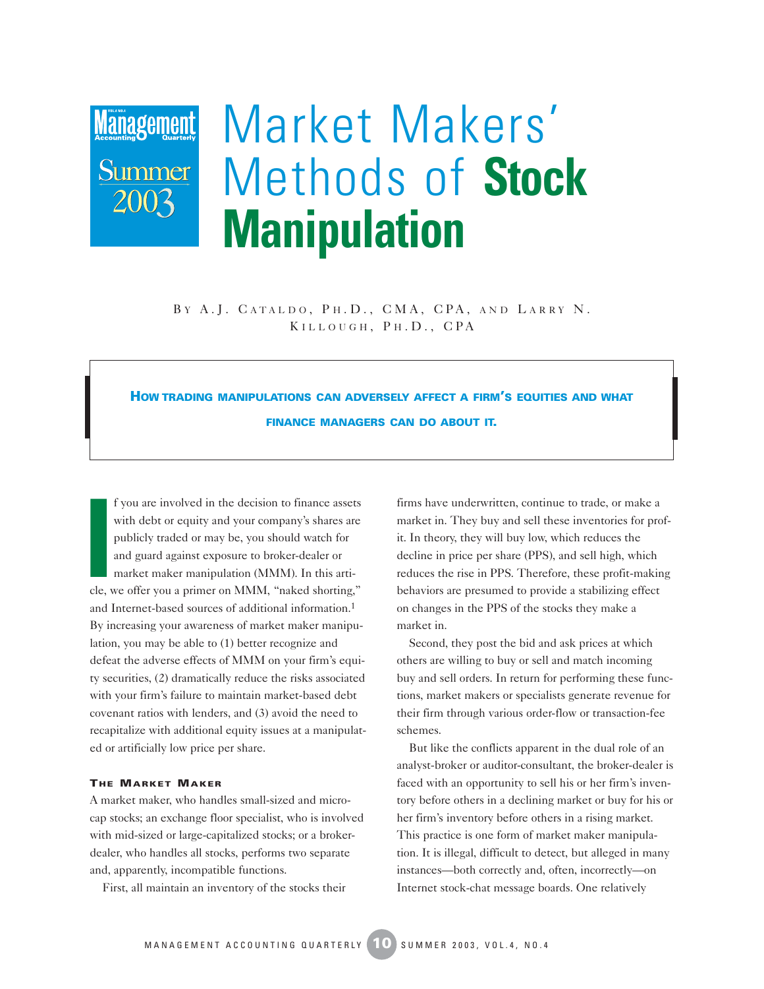## **Management** Summer 2003

# Market Makers' Methods of **Stock Manipulation**

BY A.J. CATALDO, PH.D., CMA, CPA, AND LARRY N. KILLOUGH, PH.D., CPA

### **HOW TRADING MANIPULATIONS CAN ADVERSELY AFFECT A FIRM'S EQUITIES AND WHAT FINANCE MANAGERS CAN DO ABOUT IT.**

**I**<br> **I**<br> **I**<br> **I**<br> **I**<br> **I**<br> **I** f you are involved in the decision to finance assets with debt or equity and your company's shares are publicly traded or may be, you should watch for and guard against exposure to broker-dealer or market maker manipulation (MMM). In this article, we offer you a primer on MMM, "naked shorting," and Internet-based sources of additional information.1 By increasing your awareness of market maker manipulation, you may be able to (1) better recognize and defeat the adverse effects of MMM on your firm's equity securities, (2) dramatically reduce the risks associated with your firm's failure to maintain market-based debt covenant ratios with lenders, and (3) avoid the need to recapitalize with additional equity issues at a manipulated or artificially low price per share.

#### **THE MARKET MAKER**

A market maker, who handles small-sized and microcap stocks; an exchange floor specialist, who is involved with mid-sized or large-capitalized stocks; or a brokerdealer, who handles all stocks, performs two separate and, apparently, incompatible functions.

First, all maintain an inventory of the stocks their

firms have underwritten, continue to trade, or make a market in. They buy and sell these inventories for profit. In theory, they will buy low, which reduces the decline in price per share (PPS), and sell high, which reduces the rise in PPS. Therefore, these profit-making behaviors are presumed to provide a stabilizing effect on changes in the PPS of the stocks they make a market in.

Second, they post the bid and ask prices at which others are willing to buy or sell and match incoming buy and sell orders. In return for performing these functions, market makers or specialists generate revenue for their firm through various order-flow or transaction-fee schemes.

But like the conflicts apparent in the dual role of an analyst-broker or auditor-consultant, the broker-dealer is faced with an opportunity to sell his or her firm's inventory before others in a declining market or buy for his or her firm's inventory before others in a rising market. This practice is one form of market maker manipulation. It is illegal, difficult to detect, but alleged in many instances—both correctly and, often, incorrectly—on Internet stock-chat message boards. One relatively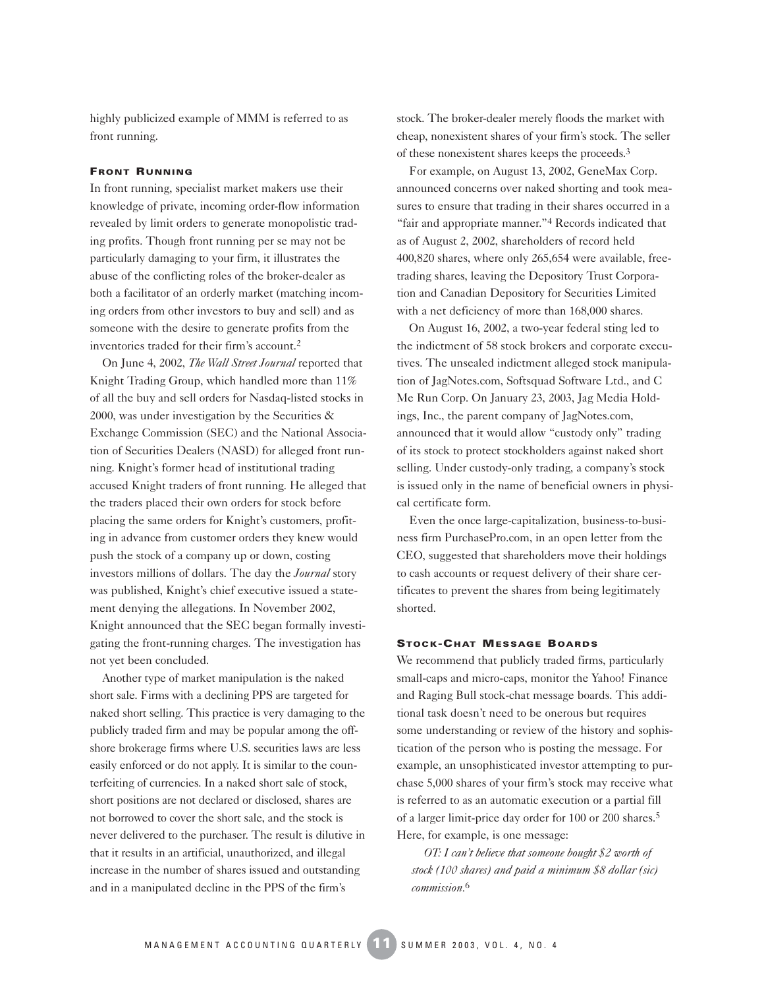highly publicized example of MMM is referred to as front running.

#### **FRONT RUNNING**

In front running, specialist market makers use their knowledge of private, incoming order-flow information revealed by limit orders to generate monopolistic trading profits. Though front running per se may not be particularly damaging to your firm, it illustrates the abuse of the conflicting roles of the broker-dealer as both a facilitator of an orderly market (matching incoming orders from other investors to buy and sell) and as someone with the desire to generate profits from the inventories traded for their firm's account.2

On June 4, 2002, *The Wall Street Journal* reported that Knight Trading Group, which handled more than 11% of all the buy and sell orders for Nasdaq-listed stocks in 2000, was under investigation by the Securities  $\&$ Exchange Commission (SEC) and the National Association of Securities Dealers (NASD) for alleged front running. Knight's former head of institutional trading accused Knight traders of front running. He alleged that the traders placed their own orders for stock before placing the same orders for Knight's customers, profiting in advance from customer orders they knew would push the stock of a company up or down, costing investors millions of dollars. The day the *Journal* story was published, Knight's chief executive issued a statement denying the allegations. In November 2002, Knight announced that the SEC began formally investigating the front-running charges. The investigation has not yet been concluded.

Another type of market manipulation is the naked short sale. Firms with a declining PPS are targeted for naked short selling. This practice is very damaging to the publicly traded firm and may be popular among the offshore brokerage firms where U.S. securities laws are less easily enforced or do not apply. It is similar to the counterfeiting of currencies. In a naked short sale of stock, short positions are not declared or disclosed, shares are not borrowed to cover the short sale, and the stock is never delivered to the purchaser. The result is dilutive in that it results in an artificial, unauthorized, and illegal increase in the number of shares issued and outstanding and in a manipulated decline in the PPS of the firm's

stock. The broker-dealer merely floods the market with cheap, nonexistent shares of your firm's stock. The seller of these nonexistent shares keeps the proceeds.3

For example, on August 13, 2002, GeneMax Corp. announced concerns over naked shorting and took measures to ensure that trading in their shares occurred in a "fair and appropriate manner."4 Records indicated that as of August 2, 2002, shareholders of record held 400,820 shares, where only 265,654 were available, freetrading shares, leaving the Depository Trust Corporation and Canadian Depository for Securities Limited with a net deficiency of more than 168,000 shares.

On August 16, 2002, a two-year federal sting led to the indictment of 58 stock brokers and corporate executives. The unsealed indictment alleged stock manipulation of JagNotes.com, Softsquad Software Ltd., and C Me Run Corp. On January 23, 2003, Jag Media Holdings, Inc., the parent company of JagNotes.com, announced that it would allow "custody only" trading of its stock to protect stockholders against naked short selling. Under custody-only trading, a company's stock is issued only in the name of beneficial owners in physical certificate form.

Even the once large-capitalization, business-to-business firm PurchasePro.com, in an open letter from the CEO, suggested that shareholders move their holdings to cash accounts or request delivery of their share certificates to prevent the shares from being legitimately shorted.

#### **STOCK-CHAT MESSAGE BOARDS**

We recommend that publicly traded firms, particularly small-caps and micro-caps, monitor the Yahoo! Finance and Raging Bull stock-chat message boards. This additional task doesn't need to be onerous but requires some understanding or review of the history and sophistication of the person who is posting the message. For example, an unsophisticated investor attempting to purchase 5,000 shares of your firm's stock may receive what is referred to as an automatic execution or a partial fill of a larger limit-price day order for 100 or 200 shares.5 Here, for example, is one message:

*OT: I can't believe that someone bought \$2 worth of stock (100 shares) and paid a minimum \$8 dollar (sic) commission.*6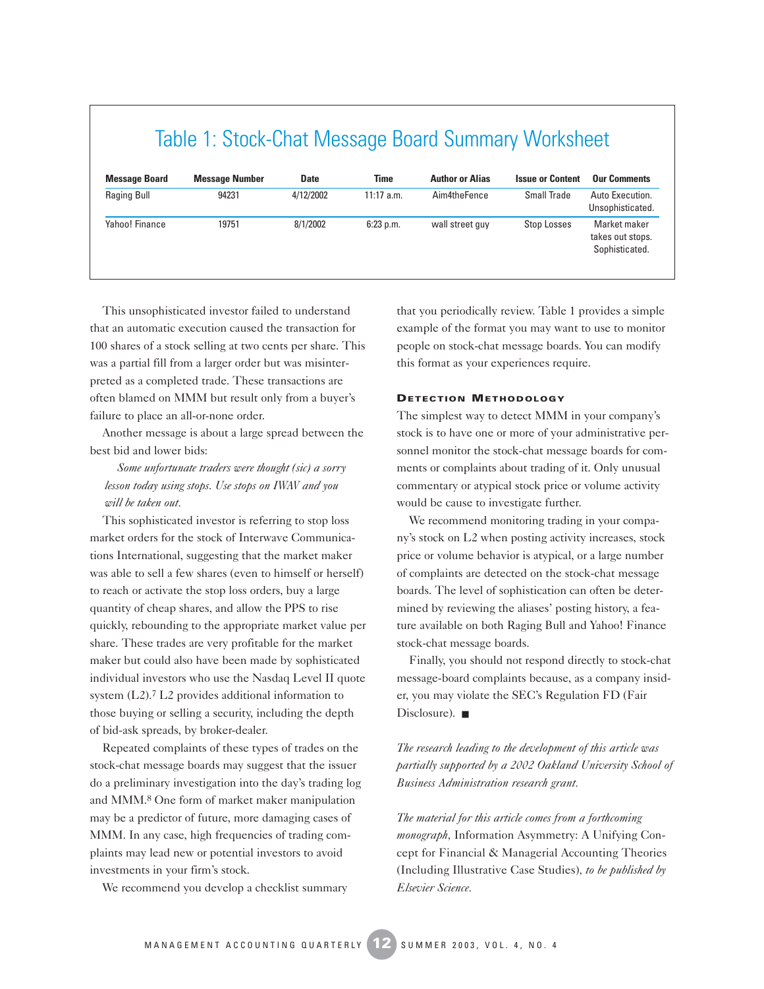| Table 1: Stock-Chat Message Board Summary Worksheet |                       |             |              |                        |                         |                                                    |
|-----------------------------------------------------|-----------------------|-------------|--------------|------------------------|-------------------------|----------------------------------------------------|
| <b>Message Board</b>                                | <b>Message Number</b> | <b>Date</b> | <b>Time</b>  | <b>Author or Alias</b> | <b>Issue or Content</b> | <b>Our Comments</b>                                |
| Raging Bull                                         | 94231                 | 4/12/2002   | $11:17$ a.m. | Aim4theFence           | Small Trade             | Auto Execution.<br>Unsophisticated.                |
| Yahoo! Finance                                      | 19751                 | 8/1/2002    | $6:23$ p.m.  | wall street guy        | Stop Losses             | Market maker<br>takes out stops.<br>Sophisticated. |

This unsophisticated investor failed to understand that an automatic execution caused the transaction for 100 shares of a stock selling at two cents per share. This was a partial fill from a larger order but was misinterpreted as a completed trade. These transactions are often blamed on MMM but result only from a buyer's failure to place an all-or-none order.

Another message is about a large spread between the best bid and lower bids:

*Some unfortunate traders were thought (sic) a sorry lesson today using stops. Use stops on IWAV and you will be taken out.*

This sophisticated investor is referring to stop loss market orders for the stock of Interwave Communications International, suggesting that the market maker was able to sell a few shares (even to himself or herself) to reach or activate the stop loss orders, buy a large quantity of cheap shares, and allow the PPS to rise quickly, rebounding to the appropriate market value per share. These trades are very profitable for the market maker but could also have been made by sophisticated individual investors who use the Nasdaq Level II quote system (L2).7 L2 provides additional information to those buying or selling a security, including the depth of bid-ask spreads, by broker-dealer.

Repeated complaints of these types of trades on the stock-chat message boards may suggest that the issuer do a preliminary investigation into the day's trading log and MMM.8 One form of market maker manipulation may be a predictor of future, more damaging cases of MMM. In any case, high frequencies of trading complaints may lead new or potential investors to avoid investments in your firm's stock.

We recommend you develop a checklist summary

that you periodically review. Table 1 provides a simple example of the format you may want to use to monitor people on stock-chat message boards. You can modify this format as your experiences require.

#### **DETECTION METHODOLOGY**

The simplest way to detect MMM in your company's stock is to have one or more of your administrative personnel monitor the stock-chat message boards for comments or complaints about trading of it. Only unusual commentary or atypical stock price or volume activity would be cause to investigate further.

We recommend monitoring trading in your company's stock on L2 when posting activity increases, stock price or volume behavior is atypical, or a large number of complaints are detected on the stock-chat message boards. The level of sophistication can often be determined by reviewing the aliases' posting history, a feature available on both Raging Bull and Yahoo! Finance stock-chat message boards.

Finally, you should not respond directly to stock-chat message-board complaints because, as a company insider, you may violate the SEC's Regulation FD (Fair Disclosure). ■

*The research leading to the development of this article was partially supported by a 2002 Oakland University School of Business Administration research grant.*

*The material for this article comes from a forthcoming monograph,* Information Asymmetry: A Unifying Concept for Financial & Managerial Accounting Theories (Including Illustrative Case Studies)*, to be published by Elsevier Science.*